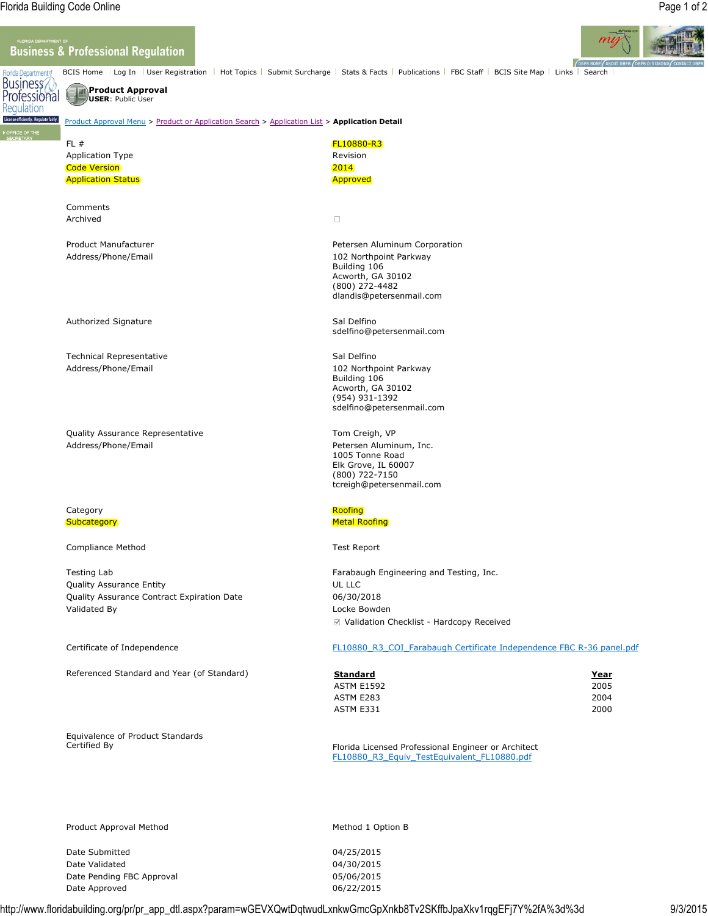Regulation

## **Business & Professional Regulation**



BCIS Home Log In | User Registration | Hot Topics | Submit Surcharge | Stats & Facts | Publications | FBC Staff | BCIS Site Map | Links | Search Florida Department of Business<br>Professional

# **Product Approval USER**: Public User

#### License efficiently. Regulate fairly. Product Approval Menu > Product or Application Search > Application List > **Application Detail**

| FL #<br><b>Application Type</b><br><b>Code Version</b><br><b>Application Status</b>                   | <b>FL10880-R3</b><br>Revision<br>2014<br><b>Approved</b>                                                                                   |
|-------------------------------------------------------------------------------------------------------|--------------------------------------------------------------------------------------------------------------------------------------------|
| Comments<br>Archived                                                                                  | $\Box$                                                                                                                                     |
| Product Manufacturer<br>Address/Phone/Email                                                           | Petersen Aluminum Corporation<br>102 Northpoint Parkway<br>Building 106<br>Acworth, GA 30102<br>(800) 272-4482<br>dlandis@petersenmail.com |
| Authorized Signature                                                                                  | Sal Delfino<br>sdelfino@petersenmail.com                                                                                                   |
| <b>Technical Representative</b><br>Address/Phone/Email                                                | Sal Delfino<br>102 Northpoint Parkway<br>Building 106<br>Acworth, GA 30102<br>(954) 931-1392<br>sdelfino@petersenmail.com                  |
| Quality Assurance Representative<br>Address/Phone/Email                                               | Tom Creigh, VP<br>Petersen Aluminum, Inc.<br>1005 Tonne Road<br>Elk Grove, IL 60007<br>(800) 722-7150<br>tcreigh@petersenmail.com          |
| Category<br>Subcategory                                                                               | Roofing<br><b>Metal Roofing</b>                                                                                                            |
| Compliance Method                                                                                     | <b>Test Report</b>                                                                                                                         |
| Testing Lab<br>Quality Assurance Entity<br>Quality Assurance Contract Expiration Date<br>Validated By | Farabaugh Engineering and Testing, Inc.<br>UL LLC<br>06/30/2018<br>Locke Bowden<br>☑ Validation Checklist - Hardcopy Received              |
| Certificate of Independence                                                                           | FL10880 R3 COI Farabaugh Certificate Independence FBC R-36 panel.pdf                                                                       |

Referenced Standard and Year (of Standard) **Standard Year**

Equivalence of Product Standards

| Standard   | Year |
|------------|------|
| ASTM E1592 | 2005 |
| ASTM E283  | 2004 |
| ASTM E331  | 2000 |

Florida Licensed Professional Engineer or Architect FL10880\_R3\_Equiv\_TestEquivalent\_FL10880.pdf

Product Approval Method Method Method 2 Option B

Date Submitted 04/25/2015 Date Validated 04/30/2015 Date Pending FBC Approval 05/06/2015 Date Approved and the control of the CO2/2015

http://www.floridabuilding.org/pr/pr\_app\_dtl.aspx?param=wGEVXQwtDqtwudLxnkwGmcGpXnkb8Tv2SKffbJpaXkv1rqgEFj7Y%2fA%3d%3d 9/3/2015